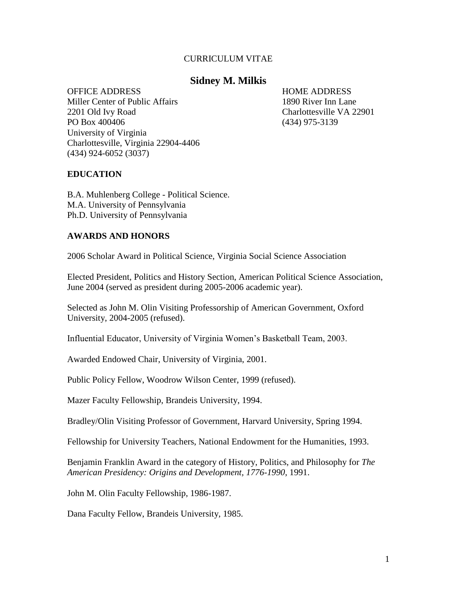#### CURRICULUM VITAE

### **Sidney M. Milkis**

OFFICE ADDRESS HOME ADDRESS Miller Center of Public Affairs 1890 River Inn Lane 2201 Old Ivy Road Charlottesville VA 22901 PO Box 400406 (434) 975-3139 University of Virginia Charlottesville, Virginia 22904-4406 (434) 924-6052 (3037)

#### **EDUCATION**

B.A. Muhlenberg College - Political Science. M.A. University of Pennsylvania Ph.D. University of Pennsylvania

## **AWARDS AND HONORS**

2006 Scholar Award in Political Science, Virginia Social Science Association

Elected President, Politics and History Section, American Political Science Association, June 2004 (served as president during 2005-2006 academic year).

Selected as John M. Olin Visiting Professorship of American Government, Oxford University, 2004-2005 (refused).

Influential Educator, University of Virginia Women"s Basketball Team, 2003.

Awarded Endowed Chair, University of Virginia, 2001.

Public Policy Fellow, Woodrow Wilson Center, 1999 (refused).

Mazer Faculty Fellowship, Brandeis University, 1994.

Bradley/Olin Visiting Professor of Government, Harvard University, Spring 1994.

Fellowship for University Teachers, National Endowment for the Humanities, 1993.

Benjamin Franklin Award in the category of History, Politics, and Philosophy for *The American Presidency: Origins and Development, 1776-1990*, 1991.

John M. Olin Faculty Fellowship, 1986-1987.

Dana Faculty Fellow, Brandeis University, 1985.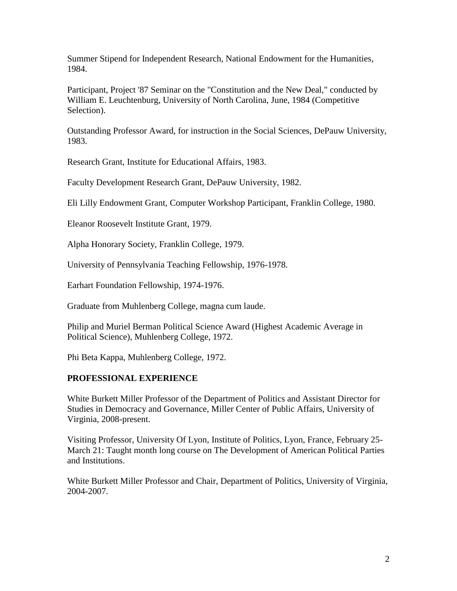Summer Stipend for Independent Research, National Endowment for the Humanities, 1984.

Participant, Project '87 Seminar on the "Constitution and the New Deal," conducted by William E. Leuchtenburg, University of North Carolina, June, 1984 (Competitive Selection).

Outstanding Professor Award, for instruction in the Social Sciences, DePauw University, 1983.

Research Grant, Institute for Educational Affairs, 1983.

Faculty Development Research Grant, DePauw University, 1982.

Eli Lilly Endowment Grant, Computer Workshop Participant, Franklin College, 1980.

Eleanor Roosevelt Institute Grant, 1979.

Alpha Honorary Society, Franklin College, 1979.

University of Pennsylvania Teaching Fellowship, 1976-1978.

Earhart Foundation Fellowship, 1974-1976.

Graduate from Muhlenberg College, magna cum laude.

Philip and Muriel Berman Political Science Award (Highest Academic Average in Political Science), Muhlenberg College, 1972.

Phi Beta Kappa, Muhlenberg College, 1972.

# **PROFESSIONAL EXPERIENCE**

White Burkett Miller Professor of the Department of Politics and Assistant Director for Studies in Democracy and Governance, Miller Center of Public Affairs, University of Virginia, 2008-present.

Visiting Professor, University Of Lyon, Institute of Politics, Lyon, France, February 25- March 21: Taught month long course on The Development of American Political Parties and Institutions.

White Burkett Miller Professor and Chair, Department of Politics, University of Virginia, 2004-2007.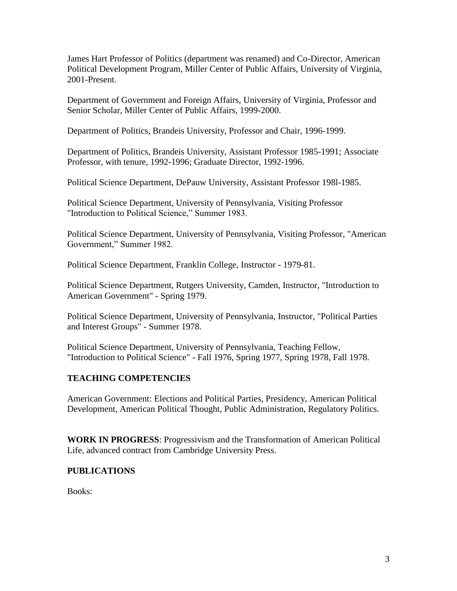James Hart Professor of Politics (department was renamed) and Co-Director, American Political Development Program, Miller Center of Public Affairs, University of Virginia, 2001-Present.

Department of Government and Foreign Affairs, University of Virginia, Professor and Senior Scholar, Miller Center of Public Affairs, 1999-2000.

Department of Politics, Brandeis University, Professor and Chair, 1996-1999.

Department of Politics, Brandeis University, Assistant Professor 1985-1991; Associate Professor, with tenure, 1992-1996; Graduate Director, 1992-1996.

Political Science Department, DePauw University, Assistant Professor 198l-1985.

Political Science Department, University of Pennsylvania, Visiting Professor "Introduction to Political Science," Summer 1983.

Political Science Department, University of Pennsylvania, Visiting Professor, "American Government," Summer 1982.

Political Science Department, Franklin College, Instructor - 1979-81.

Political Science Department, Rutgers University, Camden, Instructor, "Introduction to American Government" - Spring 1979.

Political Science Department, University of Pennsylvania, Instructor, "Political Parties and Interest Groups" - Summer 1978.

Political Science Department, University of Pennsylvania, Teaching Fellow, "Introduction to Political Science" - Fall 1976, Spring 1977, Spring 1978, Fall 1978.

# **TEACHING COMPETENCIES**

American Government: Elections and Political Parties, Presidency, American Political Development, American Political Thought, Public Administration, Regulatory Politics.

**WORK IN PROGRESS**: Progressivism and the Transformation of American Political Life, advanced contract from Cambridge University Press.

# **PUBLICATIONS**

Books: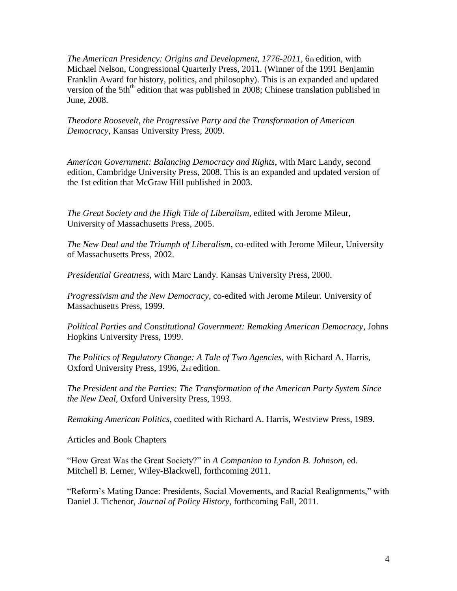*The American Presidency: Origins and Development, 1776-2011*, 6th edition, with Michael Nelson, Congressional Quarterly Press, 2011. (Winner of the 1991 Benjamin Franklin Award for history, politics, and philosophy). This is an expanded and updated version of the 5th<sup>th</sup> edition that was published in 2008; Chinese translation published in June, 2008.

*Theodore Roosevelt, the Progressive Party and the Transformation of American Democracy*, Kansas University Press, 2009.

*American Government: Balancing Democracy and Rights*, with Marc Landy, second edition, Cambridge University Press, 2008. This is an expanded and updated version of the 1st edition that McGraw Hill published in 2003.

*The Great Society and the High Tide of Liberalism*, edited with Jerome Mileur, University of Massachusetts Press, 2005.

*The New Deal and the Triumph of Liberalism*, co-edited with Jerome Mileur, University of Massachusetts Press, 2002.

*Presidential Greatness*, with Marc Landy. Kansas University Press, 2000.

*Progressivism and the New Democracy*, co-edited with Jerome Mileur. University of Massachusetts Press, 1999.

*Political Parties and Constitutional Government: Remaking American Democracy*, Johns Hopkins University Press, 1999.

*The Politics of Regulatory Change: A Tale of Two Agencies*, with Richard A. Harris, Oxford University Press, 1996, 2nd edition.

*The President and the Parties: The Transformation of the American Party System Since the New Deal*, Oxford University Press, 1993.

*Remaking American Politics*, coedited with Richard A. Harris, Westview Press, 1989.

Articles and Book Chapters

"How Great Was the Great Society?" in *A Companion to Lyndon B. Johnson*, ed. Mitchell B. Lerner, Wiley-Blackwell, forthcoming 2011.

"Reform"s Mating Dance: Presidents, Social Movements, and Racial Realignments," with Daniel J. Tichenor, *Journal of Policy History*, forthcoming Fall, 2011.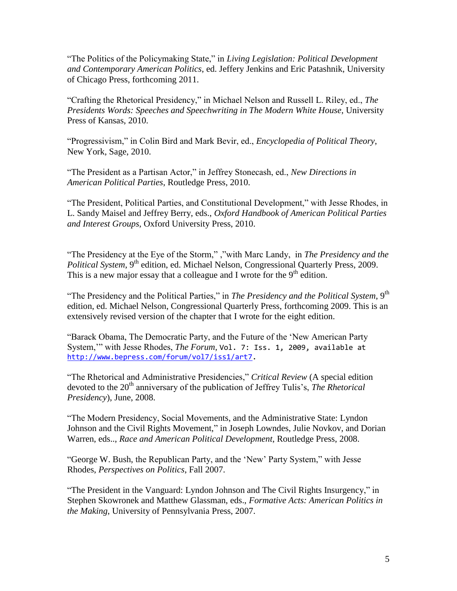"The Politics of the Policymaking State," in *Living Legislation: Political Development and Contemporary American Politics*, ed. Jeffery Jenkins and Eric Patashnik, University of Chicago Press, forthcoming 2011.

"Crafting the Rhetorical Presidency," in Michael Nelson and Russell L. Riley, ed., *The Presidents Words: Speeches and Speechwriting in The Modern White House*, University Press of Kansas, 2010.

"Progressivism," in Colin Bird and Mark Bevir, ed., *Encyclopedia of Political Theory*, New York, Sage, 2010.

"The President as a Partisan Actor," in Jeffrey Stonecash, ed., *New Directions in American Political Parties*, Routledge Press, 2010.

"The President, Political Parties, and Constitutional Development," with Jesse Rhodes, in L. Sandy Maisel and Jeffrey Berry, eds., *Oxford Handbook of American Political Parties and Interest Groups*, Oxford University Press, 2010.

"The Presidency at the Eye of the Storm," ,"with Marc Landy, in *The Presidency and the Political System*, 9<sup>th</sup> edition, ed. Michael Nelson, Congressional Quarterly Press, 2009. This is a new major essay that a colleague and I wrote for the  $9<sup>th</sup>$  edition.

"The Presidency and the Political Parties," in *The Presidency and the Political System*, 9<sup>th</sup> edition, ed. Michael Nelson, Congressional Quarterly Press, forthcoming 2009. This is an extensively revised version of the chapter that I wrote for the eight edition.

"Barack Obama, The Democratic Party, and the Future of the "New American Party System,"" with Jesse Rhodes, *The Forum,* Vol. 7: Iss. 1, 2009, available at [http://www.bepress.com/forum/vol7/iss1/art7.](http://www.bepress.com/forum/vol7/iss1/art7)

"The Rhetorical and Administrative Presidencies," *Critical Review* (A special edition devoted to the 20<sup>th</sup> anniversary of the publication of Jeffrey Tulis's, *The Rhetorical Presidency*), June, 2008.

"The Modern Presidency, Social Movements, and the Administrative State: Lyndon Johnson and the Civil Rights Movement," in Joseph Lowndes, Julie Novkov, and Dorian Warren, eds.., *Race and American Political Development*, Routledge Press, 2008.

"George W. Bush, the Republican Party, and the "New" Party System," with Jesse Rhodes, *Perspectives on Politics*, Fall 2007.

"The President in the Vanguard: Lyndon Johnson and The Civil Rights Insurgency," in Stephen Skowronek and Matthew Glassman, eds., *Formative Acts: American Politics in the Making*, University of Pennsylvania Press, 2007.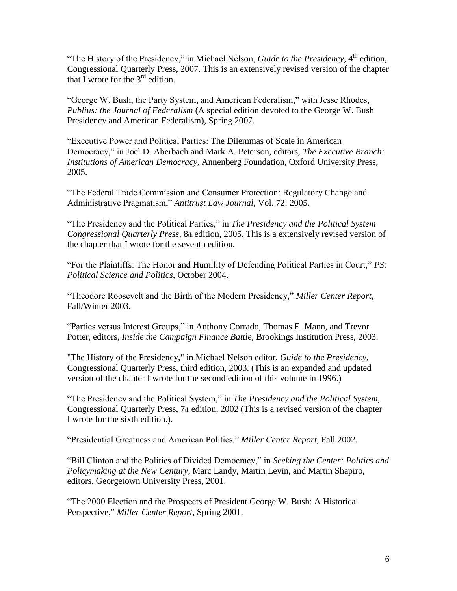"The History of the Presidency," in Michael Nelson, *Guide to the Presidency*, 4<sup>th</sup> edition, Congressional Quarterly Press, 2007. This is an extensively revised version of the chapter that I wrote for the  $3<sup>rd</sup>$  edition.

"George W. Bush, the Party System, and American Federalism," with Jesse Rhodes, *Publius: the Journal of Federalism* (A special edition devoted to the George W. Bush Presidency and American Federalism), Spring 2007.

"Executive Power and Political Parties: The Dilemmas of Scale in American Democracy," in Joel D. Aberbach and Mark A. Peterson, editors, *The Executive Branch: Institutions of American Democracy*, Annenberg Foundation, Oxford University Press, 2005.

"The Federal Trade Commission and Consumer Protection: Regulatory Change and Administrative Pragmatism," *Antitrust Law Journal*, Vol. 72: 2005.

"The Presidency and the Political Parties," in *The Presidency and the Political System Congressional Quarterly Press*, 8th edition, 2005. This is a extensively revised version of the chapter that I wrote for the seventh edition.

"For the Plaintiffs: The Honor and Humility of Defending Political Parties in Court," *PS: Political Science and Politics*, October 2004.

"Theodore Roosevelt and the Birth of the Modern Presidency," *Miller Center Report*, Fall/Winter 2003.

"Parties versus Interest Groups," in Anthony Corrado, Thomas E. Mann, and Trevor Potter, editors, *Inside the Campaign Finance Battle*, Brookings Institution Press, 2003.

"The History of the Presidency," in Michael Nelson editor, *Guide to the Presidency*, Congressional Quarterly Press, third edition, 2003. (This is an expanded and updated version of the chapter I wrote for the second edition of this volume in 1996.)

"The Presidency and the Political System," in *The Presidency and the Political System*, Congressional Quarterly Press, 7th edition, 2002 (This is a revised version of the chapter I wrote for the sixth edition.).

"Presidential Greatness and American Politics," *Miller Center Report*, Fall 2002.

"Bill Clinton and the Politics of Divided Democracy," in *Seeking the Center: Politics and Policymaking at the New Century*, Marc Landy, Martin Levin, and Martin Shapiro, editors, Georgetown University Press, 2001.

"The 2000 Election and the Prospects of President George W. Bush: A Historical Perspective," *Miller Center Report*, Spring 2001.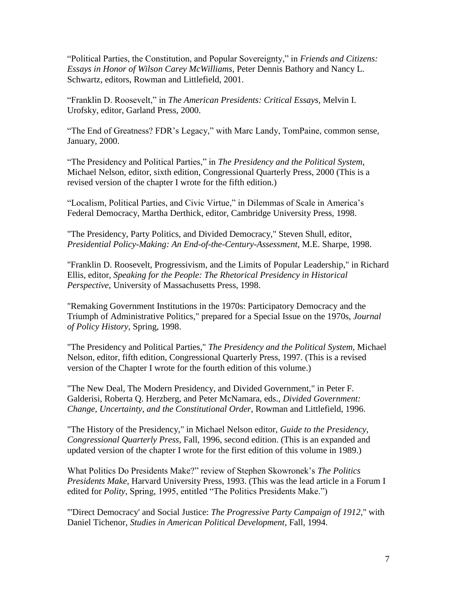"Political Parties, the Constitution, and Popular Sovereignty," in *Friends and Citizens: Essays in Honor of Wilson Carey McWilliams*, Peter Dennis Bathory and Nancy L. Schwartz, editors, Rowman and Littlefield, 2001.

"Franklin D. Roosevelt," in *The American Presidents: Critical Essays*, Melvin I. Urofsky, editor, Garland Press, 2000.

"The End of Greatness? FDR"s Legacy," with Marc Landy, TomPaine, common sense, January, 2000.

"The Presidency and Political Parties," in *The Presidency and the Political System*, Michael Nelson, editor, sixth edition, Congressional Quarterly Press, 2000 (This is a revised version of the chapter I wrote for the fifth edition.)

"Localism, Political Parties, and Civic Virtue," in Dilemmas of Scale in America"s Federal Democracy, Martha Derthick, editor, Cambridge University Press, 1998.

"The Presidency, Party Politics, and Divided Democracy," Steven Shull, editor, *Presidential Policy-Making: An End-of-the-Century-Assessment*, M.E. Sharpe, 1998.

"Franklin D. Roosevelt, Progressivism, and the Limits of Popular Leadership," in Richard Ellis, editor, *Speaking for the People: The Rhetorical Presidency in Historical Perspective*, University of Massachusetts Press, 1998.

"Remaking Government Institutions in the 1970s: Participatory Democracy and the Triumph of Administrative Politics," prepared for a Special Issue on the 1970s, *Journal of Policy History*, Spring, 1998.

"The Presidency and Political Parties," *The Presidency and the Political System,* Michael Nelson, editor, fifth edition, Congressional Quarterly Press, 1997. (This is a revised version of the Chapter I wrote for the fourth edition of this volume.)

"The New Deal, The Modern Presidency, and Divided Government," in Peter F. Galderisi, Roberta Q. Herzberg, and Peter McNamara, eds., *Divided Government: Change, Uncertainty, and the Constitutional Order*, Rowman and Littlefield, 1996.

"The History of the Presidency," in Michael Nelson editor, *Guide to the Presidency, Congressional Quarterly Press*, Fall, 1996, second edition. (This is an expanded and updated version of the chapter I wrote for the first edition of this volume in 1989.)

What Politics Do Presidents Make?" review of Stephen Skowronek"s *The Politics Presidents Make*, Harvard University Press, 1993. (This was the lead article in a Forum I edited for *Polity*, Spring, 1995, entitled "The Politics Presidents Make.")

"'Direct Democracy' and Social Justice: *The Progressive Party Campaign of 1912*," with Daniel Tichenor, *Studies in American Political Development*, Fall, 1994.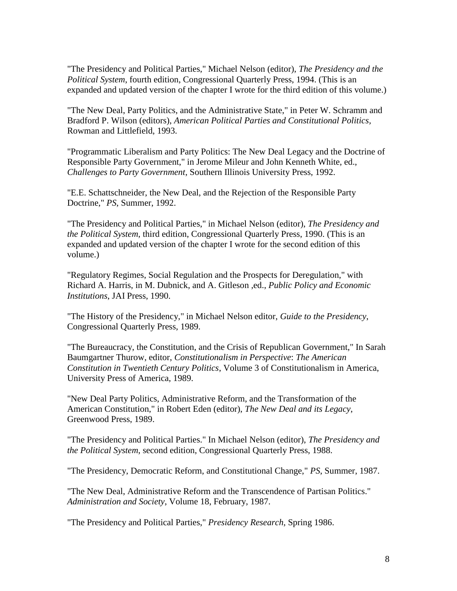"The Presidency and Political Parties," Michael Nelson (editor), *The Presidency and the Political System*, fourth edition, Congressional Quarterly Press, 1994. (This is an expanded and updated version of the chapter I wrote for the third edition of this volume.)

"The New Deal, Party Politics, and the Administrative State," in Peter W. Schramm and Bradford P. Wilson (editors), *American Political Parties and Constitutional Politics,* Rowman and Littlefield, 1993.

"Programmatic Liberalism and Party Politics: The New Deal Legacy and the Doctrine of Responsible Party Government," in Jerome Mileur and John Kenneth White, ed., *Challenges to Party Government*, Southern Illinois University Press, 1992.

"E.E. Schattschneider, the New Deal, and the Rejection of the Responsible Party Doctrine," *PS*, Summer, 1992.

"The Presidency and Political Parties," in Michael Nelson (editor), *The Presidency and the Political System*, third edition, Congressional Quarterly Press, 1990. (This is an expanded and updated version of the chapter I wrote for the second edition of this volume.)

"Regulatory Regimes, Social Regulation and the Prospects for Deregulation," with Richard A. Harris, in M. Dubnick, and A. Gitleson ,ed., *Public Policy and Economic Institutions*, JAI Press, 1990.

"The History of the Presidency," in Michael Nelson editor, *Guide to the Presidency*, Congressional Quarterly Press, 1989.

"The Bureaucracy, the Constitution, and the Crisis of Republican Government," In Sarah Baumgartner Thurow, editor, *Constitutionalism in Perspective*: *The American Constitution in Twentieth Century Politics*, Volume 3 of Constitutionalism in America, University Press of America, 1989.

"New Deal Party Politics, Administrative Reform, and the Transformation of the American Constitution," in Robert Eden (editor), *The New Deal and its Legacy*, Greenwood Press, 1989.

"The Presidency and Political Parties." In Michael Nelson (editor), *The Presidency and the Political System*, second edition, Congressional Quarterly Press, 1988.

"The Presidency, Democratic Reform, and Constitutional Change," *PS*, Summer, 1987.

"The New Deal, Administrative Reform and the Transcendence of Partisan Politics." *Administration and Society*, Volume 18, February, 1987.

"The Presidency and Political Parties," *Presidency Research*, Spring 1986.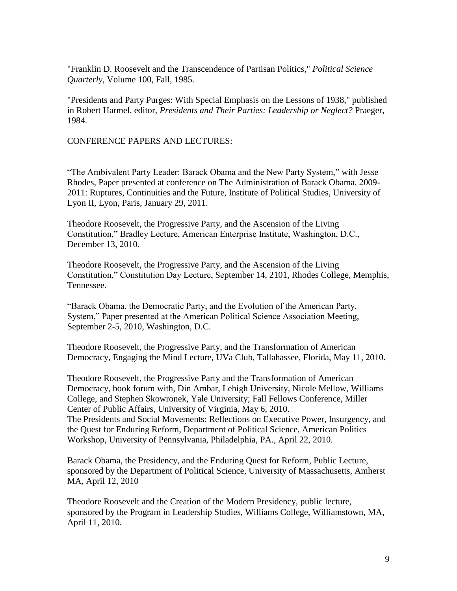"Franklin D. Roosevelt and the Transcendence of Partisan Politics," *Political Science Quarterly*, Volume 100, Fall, 1985.

"Presidents and Party Purges: With Special Emphasis on the Lessons of 1938," published in Robert Harmel, editor, *Presidents and Their Parties: Leadership or Neglect?* Praeger, 1984.

CONFERENCE PAPERS AND LECTURES:

"The Ambivalent Party Leader: Barack Obama and the New Party System," with Jesse Rhodes, Paper presented at conference on The Administration of Barack Obama, 2009- 2011: Ruptures, Continuities and the Future, Institute of Political Studies, University of Lyon II, Lyon, Paris, January 29, 2011.

Theodore Roosevelt, the Progressive Party, and the Ascension of the Living Constitution," Bradley Lecture, American Enterprise Institute, Washington, D.C., December 13, 2010.

Theodore Roosevelt, the Progressive Party, and the Ascension of the Living Constitution," Constitution Day Lecture, September 14, 2101, Rhodes College, Memphis, Tennessee.

"Barack Obama, the Democratic Party, and the Evolution of the American Party, System," Paper presented at the American Political Science Association Meeting, September 2-5, 2010, Washington, D.C.

Theodore Roosevelt, the Progressive Party, and the Transformation of American Democracy, Engaging the Mind Lecture, UVa Club, Tallahassee, Florida, May 11, 2010.

Theodore Roosevelt, the Progressive Party and the Transformation of American Democracy, book forum with, Din Ambar, Lehigh University, Nicole Mellow, Williams College, and Stephen Skowronek, Yale University; Fall Fellows Conference, Miller Center of Public Affairs, University of Virginia, May 6, 2010. The Presidents and Social Movements: Reflections on Executive Power, Insurgency, and the Quest for Enduring Reform, Department of Political Science, American Politics Workshop, University of Pennsylvania, Philadelphia, PA., April 22, 2010.

Barack Obama, the Presidency, and the Enduring Quest for Reform, Public Lecture, sponsored by the Department of Political Science, University of Massachusetts, Amherst MA, April 12, 2010

Theodore Roosevelt and the Creation of the Modern Presidency, public lecture, sponsored by the Program in Leadership Studies, Williams College, Williamstown, MA, April 11, 2010.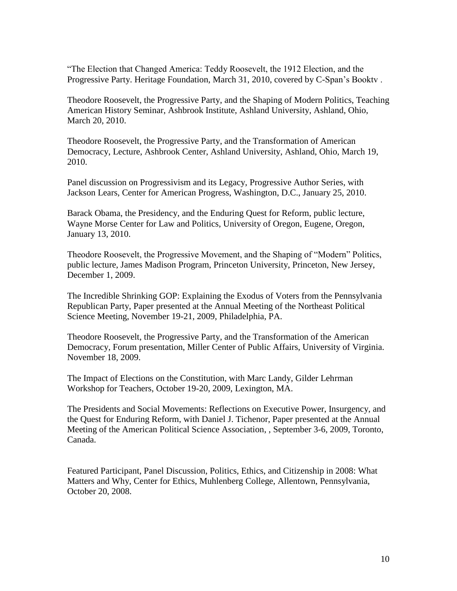"The Election that Changed America: Teddy Roosevelt, the 1912 Election, and the Progressive Party. Heritage Foundation, March 31, 2010, covered by C-Span's Bookty.

Theodore Roosevelt, the Progressive Party, and the Shaping of Modern Politics, Teaching American History Seminar, Ashbrook Institute, Ashland University, Ashland, Ohio, March 20, 2010.

Theodore Roosevelt, the Progressive Party, and the Transformation of American Democracy, Lecture, Ashbrook Center, Ashland University, Ashland, Ohio, March 19, 2010.

Panel discussion on Progressivism and its Legacy, Progressive Author Series, with Jackson Lears, Center for American Progress, Washington, D.C., January 25, 2010.

Barack Obama, the Presidency, and the Enduring Quest for Reform, public lecture, Wayne Morse Center for Law and Politics, University of Oregon, Eugene, Oregon, January 13, 2010.

Theodore Roosevelt, the Progressive Movement, and the Shaping of "Modern" Politics, public lecture, James Madison Program, Princeton University, Princeton, New Jersey, December 1, 2009.

The Incredible Shrinking GOP: Explaining the Exodus of Voters from the Pennsylvania Republican Party, Paper presented at the Annual Meeting of the Northeast Political Science Meeting, November 19-21, 2009, Philadelphia, PA.

Theodore Roosevelt, the Progressive Party, and the Transformation of the American Democracy, Forum presentation, Miller Center of Public Affairs, University of Virginia. November 18, 2009.

The Impact of Elections on the Constitution, with Marc Landy, Gilder Lehrman Workshop for Teachers, October 19-20, 2009, Lexington, MA.

The Presidents and Social Movements: Reflections on Executive Power, Insurgency, and the Quest for Enduring Reform, with Daniel J. Tichenor, Paper presented at the Annual Meeting of the American Political Science Association, , September 3-6, 2009, Toronto, Canada.

Featured Participant, Panel Discussion, Politics, Ethics, and Citizenship in 2008: What Matters and Why, Center for Ethics, Muhlenberg College, Allentown, Pennsylvania, October 20, 2008.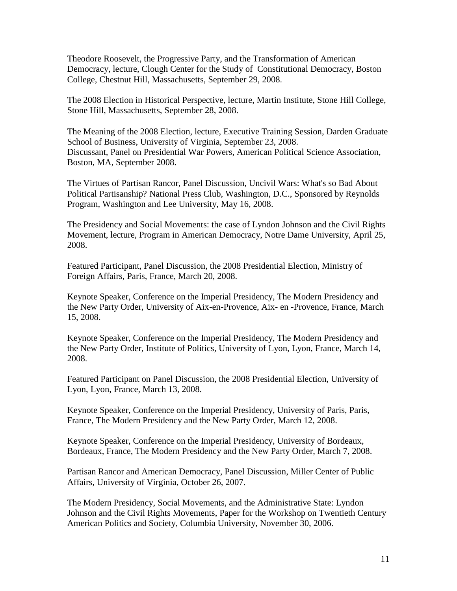Theodore Roosevelt, the Progressive Party, and the Transformation of American Democracy, lecture, Clough Center for the Study of Constitutional Democracy, Boston College, Chestnut Hill, Massachusetts, September 29, 2008.

The 2008 Election in Historical Perspective, lecture, Martin Institute, Stone Hill College, Stone Hill, Massachusetts, September 28, 2008.

The Meaning of the 2008 Election, lecture, Executive Training Session, Darden Graduate School of Business, University of Virginia, September 23, 2008. Discussant, Panel on Presidential War Powers, American Political Science Association, Boston, MA, September 2008.

The Virtues of Partisan Rancor, Panel Discussion, Uncivil Wars: What's so Bad About Political Partisanship? National Press Club, Washington, D.C., Sponsored by Reynolds Program, Washington and Lee University, May 16, 2008.

The Presidency and Social Movements: the case of Lyndon Johnson and the Civil Rights Movement, lecture, Program in American Democracy, Notre Dame University, April 25, 2008.

Featured Participant, Panel Discussion, the 2008 Presidential Election, Ministry of Foreign Affairs, Paris, France, March 20, 2008.

Keynote Speaker, Conference on the Imperial Presidency, The Modern Presidency and the New Party Order, University of Aix-en-Provence, Aix- en -Provence, France, March 15, 2008.

Keynote Speaker, Conference on the Imperial Presidency, The Modern Presidency and the New Party Order, Institute of Politics, University of Lyon, Lyon, France, March 14, 2008.

Featured Participant on Panel Discussion, the 2008 Presidential Election, University of Lyon, Lyon, France, March 13, 2008.

Keynote Speaker, Conference on the Imperial Presidency, University of Paris, Paris, France, The Modern Presidency and the New Party Order, March 12, 2008.

Keynote Speaker, Conference on the Imperial Presidency, University of Bordeaux, Bordeaux, France, The Modern Presidency and the New Party Order, March 7, 2008.

Partisan Rancor and American Democracy, Panel Discussion, Miller Center of Public Affairs, University of Virginia, October 26, 2007.

The Modern Presidency, Social Movements, and the Administrative State: Lyndon Johnson and the Civil Rights Movements, Paper for the Workshop on Twentieth Century American Politics and Society, Columbia University, November 30, 2006.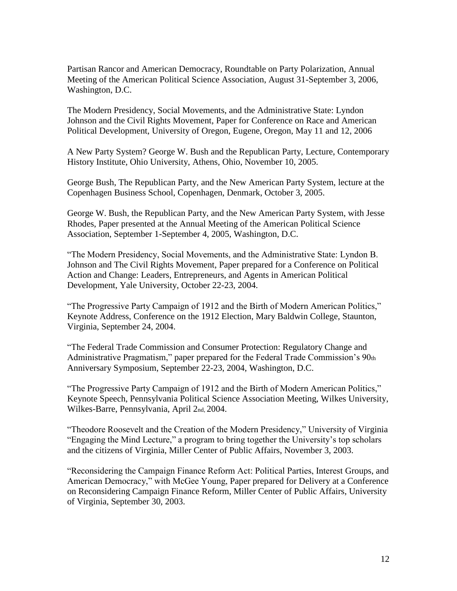Partisan Rancor and American Democracy, Roundtable on Party Polarization, Annual Meeting of the American Political Science Association, August 31-September 3, 2006, Washington, D.C.

The Modern Presidency, Social Movements, and the Administrative State: Lyndon Johnson and the Civil Rights Movement, Paper for Conference on Race and American Political Development, University of Oregon, Eugene, Oregon, May 11 and 12, 2006

A New Party System? George W. Bush and the Republican Party, Lecture, Contemporary History Institute, Ohio University, Athens, Ohio, November 10, 2005.

George Bush, The Republican Party, and the New American Party System, lecture at the Copenhagen Business School, Copenhagen, Denmark, October 3, 2005.

George W. Bush, the Republican Party, and the New American Party System, with Jesse Rhodes, Paper presented at the Annual Meeting of the American Political Science Association, September 1-September 4, 2005, Washington, D.C.

"The Modern Presidency, Social Movements, and the Administrative State: Lyndon B. Johnson and The Civil Rights Movement, Paper prepared for a Conference on Political Action and Change: Leaders, Entrepreneurs, and Agents in American Political Development, Yale University, October 22-23, 2004.

"The Progressive Party Campaign of 1912 and the Birth of Modern American Politics," Keynote Address, Conference on the 1912 Election, Mary Baldwin College, Staunton, Virginia, September 24, 2004.

"The Federal Trade Commission and Consumer Protection: Regulatory Change and Administrative Pragmatism," paper prepared for the Federal Trade Commission"s 90th Anniversary Symposium, September 22-23, 2004, Washington, D.C.

"The Progressive Party Campaign of 1912 and the Birth of Modern American Politics," Keynote Speech, Pennsylvania Political Science Association Meeting, Wilkes University, Wilkes-Barre, Pennsylvania, April 2nd, 2004.

"Theodore Roosevelt and the Creation of the Modern Presidency," University of Virginia "Engaging the Mind Lecture," a program to bring together the University"s top scholars and the citizens of Virginia, Miller Center of Public Affairs, November 3, 2003.

"Reconsidering the Campaign Finance Reform Act: Political Parties, Interest Groups, and American Democracy," with McGee Young, Paper prepared for Delivery at a Conference on Reconsidering Campaign Finance Reform, Miller Center of Public Affairs, University of Virginia, September 30, 2003.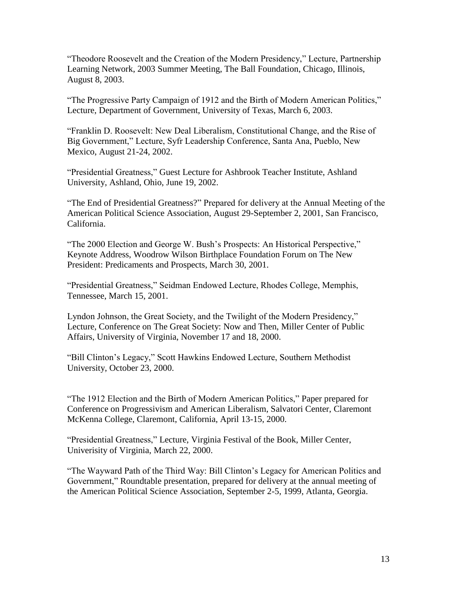"Theodore Roosevelt and the Creation of the Modern Presidency," Lecture, Partnership Learning Network, 2003 Summer Meeting, The Ball Foundation, Chicago, Illinois, August 8, 2003.

"The Progressive Party Campaign of 1912 and the Birth of Modern American Politics," Lecture, Department of Government, University of Texas, March 6, 2003.

"Franklin D. Roosevelt: New Deal Liberalism, Constitutional Change, and the Rise of Big Government," Lecture, Syfr Leadership Conference, Santa Ana, Pueblo, New Mexico, August 21-24, 2002.

"Presidential Greatness," Guest Lecture for Ashbrook Teacher Institute, Ashland University, Ashland, Ohio, June 19, 2002.

"The End of Presidential Greatness?" Prepared for delivery at the Annual Meeting of the American Political Science Association, August 29-September 2, 2001, San Francisco, California.

"The 2000 Election and George W. Bush"s Prospects: An Historical Perspective," Keynote Address, Woodrow Wilson Birthplace Foundation Forum on The New President: Predicaments and Prospects, March 30, 2001.

"Presidential Greatness," Seidman Endowed Lecture, Rhodes College, Memphis, Tennessee, March 15, 2001.

Lyndon Johnson, the Great Society, and the Twilight of the Modern Presidency," Lecture, Conference on The Great Society: Now and Then, Miller Center of Public Affairs, University of Virginia, November 17 and 18, 2000.

"Bill Clinton"s Legacy," Scott Hawkins Endowed Lecture, Southern Methodist University, October 23, 2000.

"The 1912 Election and the Birth of Modern American Politics," Paper prepared for Conference on Progressivism and American Liberalism, Salvatori Center, Claremont McKenna College, Claremont, California, April 13-15, 2000.

"Presidential Greatness," Lecture, Virginia Festival of the Book, Miller Center, Univerisity of Virginia, March 22, 2000.

"The Wayward Path of the Third Way: Bill Clinton"s Legacy for American Politics and Government," Roundtable presentation, prepared for delivery at the annual meeting of the American Political Science Association, September 2-5, 1999, Atlanta, Georgia.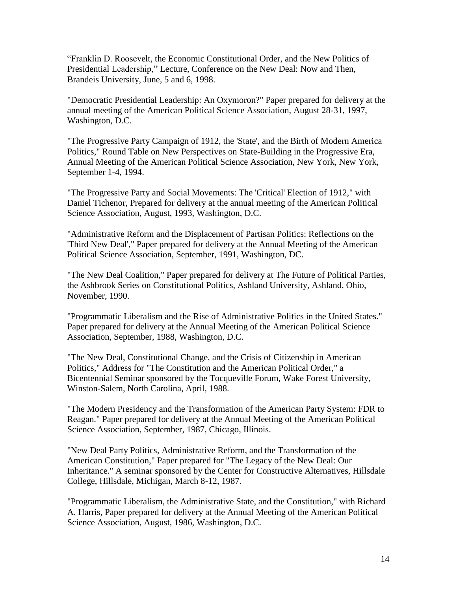"Franklin D. Roosevelt, the Economic Constitutional Order, and the New Politics of Presidential Leadership," Lecture, Conference on the New Deal: Now and Then, Brandeis University, June, 5 and 6, 1998.

"Democratic Presidential Leadership: An Oxymoron?" Paper prepared for delivery at the annual meeting of the American Political Science Association, August 28-31, 1997, Washington, D.C.

"The Progressive Party Campaign of 1912, the 'State', and the Birth of Modern America Politics," Round Table on New Perspectives on State-Building in the Progressive Era, Annual Meeting of the American Political Science Association, New York, New York, September 1-4, 1994.

"The Progressive Party and Social Movements: The 'Critical' Election of 1912," with Daniel Tichenor, Prepared for delivery at the annual meeting of the American Political Science Association, August, 1993, Washington, D.C.

"Administrative Reform and the Displacement of Partisan Politics: Reflections on the 'Third New Deal'," Paper prepared for delivery at the Annual Meeting of the American Political Science Association, September, 1991, Washington, DC.

"The New Deal Coalition," Paper prepared for delivery at The Future of Political Parties, the Ashbrook Series on Constitutional Politics, Ashland University, Ashland, Ohio, November, 1990.

"Programmatic Liberalism and the Rise of Administrative Politics in the United States." Paper prepared for delivery at the Annual Meeting of the American Political Science Association, September, 1988, Washington, D.C.

"The New Deal, Constitutional Change, and the Crisis of Citizenship in American Politics," Address for "The Constitution and the American Political Order," a Bicentennial Seminar sponsored by the Tocqueville Forum, Wake Forest University, Winston-Salem, North Carolina, April, 1988.

"The Modern Presidency and the Transformation of the American Party System: FDR to Reagan." Paper prepared for delivery at the Annual Meeting of the American Political Science Association, September, 1987, Chicago, Illinois.

"New Deal Party Politics, Administrative Reform, and the Transformation of the American Constitution," Paper prepared for "The Legacy of the New Deal: Our Inheritance." A seminar sponsored by the Center for Constructive Alternatives, Hillsdale College, Hillsdale, Michigan, March 8-12, 1987.

"Programmatic Liberalism, the Administrative State, and the Constitution," with Richard A. Harris, Paper prepared for delivery at the Annual Meeting of the American Political Science Association, August, 1986, Washington, D.C.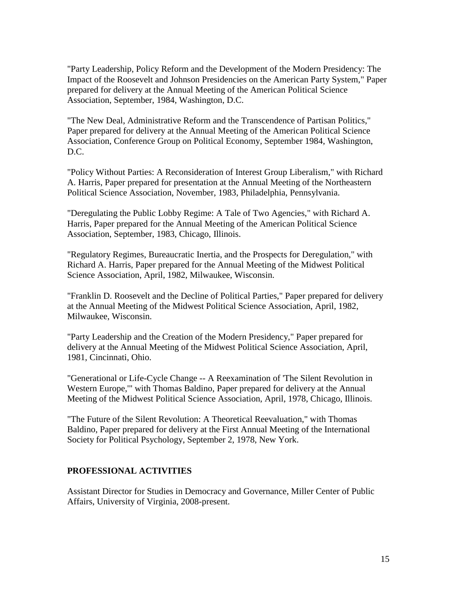"Party Leadership, Policy Reform and the Development of the Modern Presidency: The Impact of the Roosevelt and Johnson Presidencies on the American Party System," Paper prepared for delivery at the Annual Meeting of the American Political Science Association, September, 1984, Washington, D.C.

"The New Deal, Administrative Reform and the Transcendence of Partisan Politics," Paper prepared for delivery at the Annual Meeting of the American Political Science Association, Conference Group on Political Economy, September 1984, Washington, D.C.

"Policy Without Parties: A Reconsideration of Interest Group Liberalism," with Richard A. Harris, Paper prepared for presentation at the Annual Meeting of the Northeastern Political Science Association, November, 1983, Philadelphia, Pennsylvania.

"Deregulating the Public Lobby Regime: A Tale of Two Agencies," with Richard A. Harris, Paper prepared for the Annual Meeting of the American Political Science Association, September, 1983, Chicago, Illinois.

"Regulatory Regimes, Bureaucratic Inertia, and the Prospects for Deregulation," with Richard A. Harris, Paper prepared for the Annual Meeting of the Midwest Political Science Association, April, 1982, Milwaukee, Wisconsin.

"Franklin D. Roosevelt and the Decline of Political Parties," Paper prepared for delivery at the Annual Meeting of the Midwest Political Science Association, April, 1982, Milwaukee, Wisconsin.

"Party Leadership and the Creation of the Modern Presidency," Paper prepared for delivery at the Annual Meeting of the Midwest Political Science Association, April, 1981, Cincinnati, Ohio.

"Generational or Life-Cycle Change -- A Reexamination of 'The Silent Revolution in Western Europe,'" with Thomas Baldino, Paper prepared for delivery at the Annual Meeting of the Midwest Political Science Association, April, 1978, Chicago, Illinois.

"The Future of the Silent Revolution: A Theoretical Reevaluation," with Thomas Baldino, Paper prepared for delivery at the First Annual Meeting of the International Society for Political Psychology, September 2, 1978, New York.

### **PROFESSIONAL ACTIVITIES**

Assistant Director for Studies in Democracy and Governance, Miller Center of Public Affairs, University of Virginia, 2008-present.